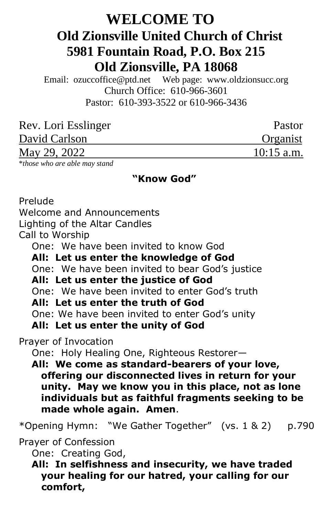# **WELCOME TO Old Zionsville United Church of Christ 5981 Fountain Road, P.O. Box 215 Old Zionsville, PA 18068**

Email: [ozuccoffice@ptd.net](mailto:ozuccoffice@ptd.net) Web page: [www.ol](http://www.uccwebsites.net/oldzionsvilleuccpa.html)dzionsucc.org Church Office: 610-966-3601 Pastor: 610-393-3522 or 610-966-3436

| Rev. Lori Esslinger | Pastor       |
|---------------------|--------------|
| David Carlson       | Organist     |
| May 29, 2022        | $10:15$ a.m. |

\**those who are able may stand*

#### **"Know God"**

Prelude

Welcome and Announcements

Lighting of the Altar Candles

Call to Worship

One: We have been invited to know God

 **All: Let us enter the knowledge of God**

One: We have been invited to bear God's justice

## **All: Let us enter the justice of God**

One: We have been invited to enter God's truth

## **All: Let us enter the truth of God**

One: We have been invited to enter God's unity

 **All: Let us enter the unity of God**

Prayer of Invocation

One: Holy Healing One, Righteous Restorer—

 **All: We come as standard-bearers of your love, offering our disconnected lives in return for your unity. May we know you in this place, not as lone individuals but as faithful fragments seeking to be made whole again. Amen**.

\*Opening Hymn: "We Gather Together" (vs. 1 & 2) p.790

Prayer of Confession

One: Creating God,

 **All: In selfishness and insecurity, we have traded your healing for our hatred, your calling for our comfort,**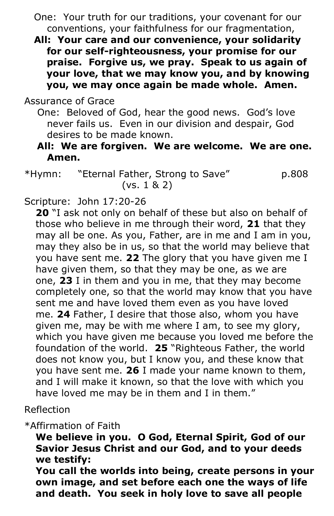- One: Your truth for our traditions, your covenant for our conventions, your faithfulness for our fragmentation,
- **All: Your care and our convenience, your solidarity for our self-righteousness, your promise for our praise. Forgive us, we pray. Speak to us again of your love, that we may know you, and by knowing you, we may once again be made whole. Amen.**

# Assurance of Grace

- One: Beloved of God, hear the good news. God's love never fails us. Even in our division and despair, God desires to be made known.
- **All: We are forgiven. We are welcome. We are one. Amen.**
- \*Hymn: "Eternal Father, Strong to Save" p.808 (vs. 1 & 2)

# Scripture: John 17:20-26

**20** "I ask not only on behalf of these but also on behalf of those who believe in me through their word, **21** that they may all be one. As you, Father, are in me and I am in you, may they also be in us, so that the world may believe that you have sent me. **22** The glory that you have given me I have given them, so that they may be one, as we are one, **23** I in them and you in me, that they may become completely one, so that the world may know that you have sent me and have loved them even as you have loved me. **24** Father, I desire that those also, whom you have given me, may be with me where I am, to see my glory, which you have given me because you loved me before the foundation of the world. **25** "Righteous Father, the world does not know you, but I know you, and these know that you have sent me. **26** I made your name known to them, and I will make it known, so that the love with which you have loved me may be in them and I in them."

#### Reflection

\*Affirmation of Faith

**We believe in you. O God, Eternal Spirit, God of our Savior Jesus Christ and our God, and to your deeds we testify:**

**You call the worlds into being, create persons in your own image, and set before each one the ways of life and death. You seek in holy love to save all people**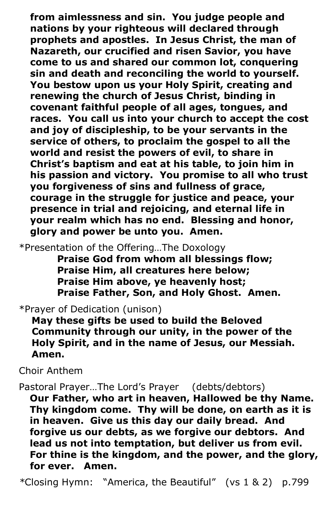**from aimlessness and sin. You judge people and nations by your righteous will declared through prophets and apostles. In Jesus Christ, the man of Nazareth, our crucified and risen Savior, you have come to us and shared our common lot, conquering sin and death and reconciling the world to yourself. You bestow upon us your Holy Spirit, creating and renewing the church of Jesus Christ, binding in covenant faithful people of all ages, tongues, and races. You call us into your church to accept the cost and joy of discipleship, to be your servants in the service of others, to proclaim the gospel to all the world and resist the powers of evil, to share in Christ's baptism and eat at his table, to join him in his passion and victory. You promise to all who trust you forgiveness of sins and fullness of grace, courage in the struggle for justice and peace, your presence in trial and rejoicing, and eternal life in your realm which has no end. Blessing and honor, glory and power be unto you. Amen.**

\*Presentation of the Offering…The Doxology

 **Praise God from whom all blessings flow; Praise Him, all creatures here below; Praise Him above, ye heavenly host; Praise Father, Son, and Holy Ghost. Amen.**

\*Prayer of Dedication (unison)

 **May these gifts be used to build the Beloved Community through our unity, in the power of the Holy Spirit, and in the name of Jesus, our Messiah. Amen.**

Choir Anthem

Pastoral Prayer…The Lord's Prayer (debts/debtors)

**Our Father, who art in heaven, Hallowed be thy Name. Thy kingdom come. Thy will be done, on earth as it is in heaven. Give us this day our daily bread. And forgive us our debts, as we forgive our debtors. And lead us not into temptation, but deliver us from evil. For thine is the kingdom, and the power, and the glory, for ever. Amen.**

*\**Closing Hymn: "America, the Beautiful" (vs 1 & 2) p.799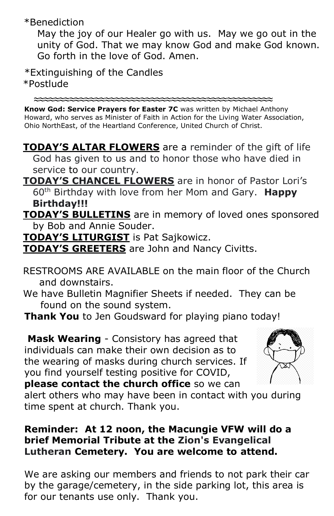\*Benediction

 May the joy of our Healer go with us. May we go out in the unity of God. That we may know God and make God known. Go forth in the love of God. Amen.

\*Extinguishing of the Candles \*Postlude

 **≈≈≈≈≈≈≈≈≈≈≈≈≈≈≈≈≈≈≈≈≈≈≈≈≈≈≈≈≈≈≈≈≈≈≈≈≈≈≈≈≈≈≈≈≈≈≈ Know God: Service Prayers for Easter 7C** was written by Michael Anthony Howard, who serves as Minister of Faith in Action for the Living Water Association, Ohio NorthEast, of the Heartland Conference, United Church of Christ.

- **TODAY'S ALTAR FLOWERS** are a reminder of the gift of life God has given to us and to honor those who have died in service to our country.
- **TODAY'S CHANCEL FLOWERS** are in honor of Pastor Lori's 60th Birthday with love from her Mom and Gary. **Happy Birthday!!!**
- **TODAY'S BULLETINS** are in memory of loved ones sponsored by Bob and Annie Souder.
- **TODAY'S LITURGIST** is Pat Sajkowicz.
- **TODAY'S GREETERS** are John and Nancy Civitts.
- RESTROOMS ARE AVAILABLE on the main floor of the Church and downstairs.
- We have Bulletin Magnifier Sheets if needed. They can be found on the sound system.
- **Thank You** to Jen Goudsward for playing piano today!

**Mask Wearing** - Consistory has agreed that individuals can make their own decision as to the wearing of masks during church services. If you find yourself testing positive for COVID, **please contact the church office** so we can



alert others who may have been in contact with you during

time spent at church. Thank you.

# **Reminder: At 12 noon, the Macungie VFW will do a brief Memorial Tribute at the Zion's Evangelical Lutheran Cemetery. You are welcome to attend.**

We are asking our members and friends to not park their car by the garage/cemetery, in the side parking lot, this area is for our tenants use only. Thank you.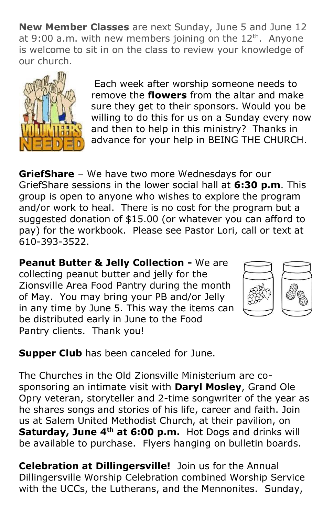**New Member Classes** are next Sunday, June 5 and June 12 at 9:00 a.m. with new members joining on the  $12<sup>th</sup>$ . Anyone is welcome to sit in on the class to review your knowledge of our church.



Each week after worship someone needs to remove the **flowers** from the altar and make sure they get to their sponsors. Would you be willing to do this for us on a Sunday every now and then to help in this ministry? Thanks in advance for your help in BEING THE CHURCH.

**GriefShare** – We have two more Wednesdays for our GriefShare sessions in the lower social hall at **6:30 p.m**. This group is open to anyone who wishes to explore the program and/or work to heal. There is no cost for the program but a suggested donation of \$15.00 (or whatever you can afford to pay) for the workbook. Please see Pastor Lori, call or text at 610-393-3522.

**Peanut Butter & Jelly Collection -** We are collecting peanut butter and jelly for the Zionsville Area Food Pantry during the month of May. You may bring your PB and/or Jelly in any time by June 5. This way the items can be distributed early in June to the Food Pantry clients. Thank you!



**Supper Club** has been canceled for June.

The Churches in the Old Zionsville Ministerium are cosponsoring an intimate visit with **Daryl Mosley**, Grand Ole Opry veteran, storyteller and 2-time songwriter of the year as he shares songs and stories of his life, career and faith. Join us at Salem United Methodist Church, at their pavilion, on **Saturday, June 4th at 6:00 p.m.** Hot Dogs and drinks will be available to purchase. Flyers hanging on bulletin boards.

**Celebration at Dillingersville!** Join us for the Annual Dillingersville Worship Celebration combined Worship Service with the UCCs, the Lutherans, and the Mennonites. Sunday,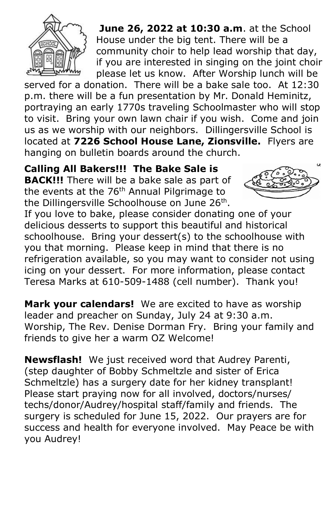

**June 26, 2022 at 10:30 a.m**. at the School House under the big tent. There will be a community choir to help lead worship that day, if you are interested in singing on the joint choir please let us know. After Worship lunch will be

served for a donation. There will be a bake sale too. At 12:30 p.m. there will be a fun presentation by Mr. Donald Heminitz, portraying an early 1770s traveling Schoolmaster who will stop to visit. Bring your own lawn chair if you wish. Come and join us as we worship with our neighbors. Dillingersville School is located at **7226 School House Lane, Zionsville.** Flyers are hanging on bulletin boards around the church.

**Calling All Bakers!!! The Bake Sale is** 

**BACK!!!** There will be a bake sale as part of the events at the 76<sup>th</sup> Annual Pilgrimage to the Dillingersville Schoolhouse on June 26<sup>th</sup>.



If you love to bake, please consider donating one of your delicious desserts to support this beautiful and historical schoolhouse. Bring your dessert(s) to the schoolhouse with you that morning. Please keep in mind that there is no refrigeration available, so you may want to consider not using icing on your dessert. For more information, please contact Teresa Marks at 610-509-1488 (cell number). Thank you!

**Mark your calendars!** We are excited to have as worship leader and preacher on Sunday, July 24 at 9:30 a.m. Worship, The Rev. Denise Dorman Fry. Bring your family and friends to give her a warm OZ Welcome!

**Newsflash!** We just received word that Audrey Parenti, (step daughter of Bobby Schmeltzle and sister of Erica Schmeltzle) has a surgery date for her kidney transplant! Please start praying now for all involved, doctors/nurses/ techs/donor/Audrey/hospital staff/family and friends. The surgery is scheduled for June 15, 2022. Our prayers are for success and health for everyone involved. May Peace be with you Audrey!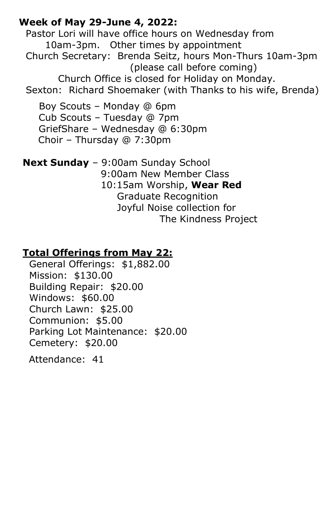# **Week of May 29-June 4, 2022:**

Pastor Lori will have office hours on Wednesday from 10am-3pm. Other times by appointment Church Secretary: Brenda Seitz, hours Mon-Thurs 10am-3pm (please call before coming) Church Office is closed for Holiday on Monday. Sexton: Richard Shoemaker (with Thanks to his wife, Brenda)

 Boy Scouts – Monday @ 6pm Cub Scouts – Tuesday @ 7pm GriefShare – Wednesday @ 6:30pm Choir – Thursday @ 7:30pm

**Next Sunday** – 9:00am Sunday School 9:00am New Member Class 10:15am Worship, **Wear Red** Graduate Recognition Joyful Noise collection for The Kindness Project

# **Total Offerings from May 22:**

 General Offerings: \$1,882.00 Mission: \$130.00 Building Repair: \$20.00 Windows: \$60.00 Church Lawn: \$25.00 Communion: \$5.00 Parking Lot Maintenance: \$20.00 Cemetery: \$20.00

Attendance: 41